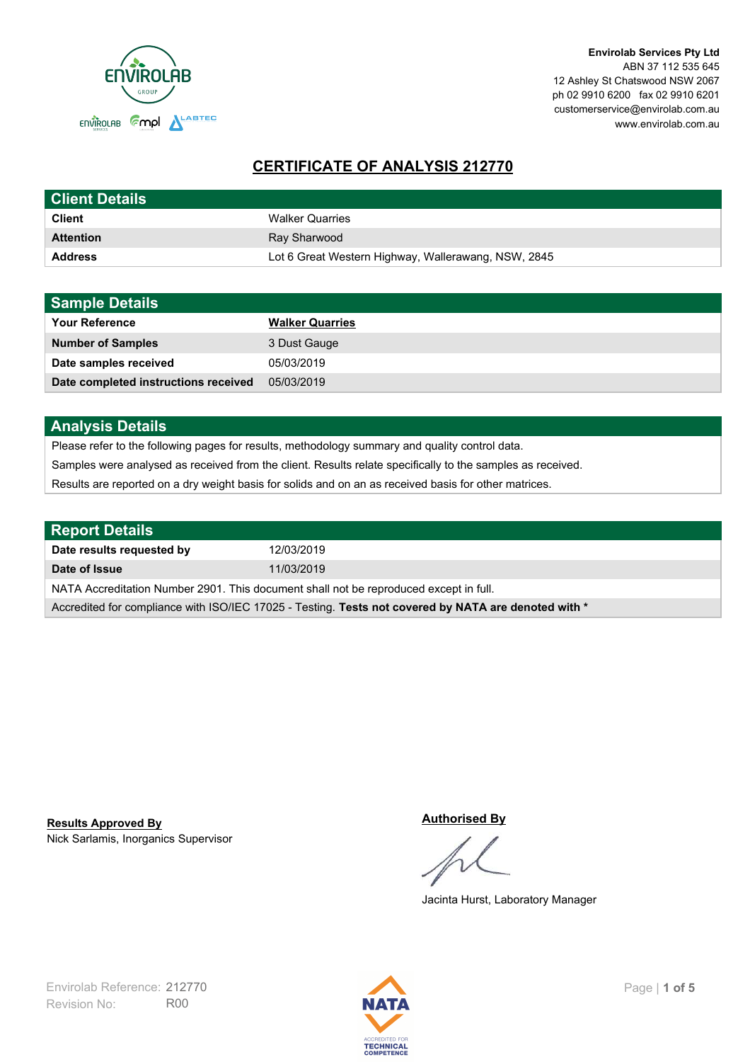

# **CERTIFICATE OF ANALYSIS 212770**

| <b>Client Details</b> |                                                     |
|-----------------------|-----------------------------------------------------|
| <b>Client</b>         | <b>Walker Quarries</b>                              |
| <b>Attention</b>      | Ray Sharwood                                        |
| <b>Address</b>        | Lot 6 Great Western Highway, Wallerawang, NSW, 2845 |

| <b>Sample Details</b>                |                        |
|--------------------------------------|------------------------|
| <b>Your Reference</b>                | <b>Walker Quarries</b> |
| <b>Number of Samples</b>             | 3 Dust Gauge           |
| Date samples received                | 05/03/2019             |
| Date completed instructions received | 05/03/2019             |

# **Analysis Details**

Please refer to the following pages for results, methodology summary and quality control data.

Samples were analysed as received from the client. Results relate specifically to the samples as received.

Results are reported on a dry weight basis for solids and on an as received basis for other matrices.

| Report Details                                                                                       |            |  |
|------------------------------------------------------------------------------------------------------|------------|--|
| Date results requested by                                                                            | 12/03/2019 |  |
| Date of Issue                                                                                        | 11/03/2019 |  |
| NATA Accreditation Number 2901. This document shall not be reproduced except in full.                |            |  |
| Accredited for compliance with ISO/IEC 17025 - Testing. Tests not covered by NATA are denoted with * |            |  |

Nick Sarlamis, Inorganics Supervisor **Results Approved By**

#### **Authorised By**

Jacinta Hurst, Laboratory Manager

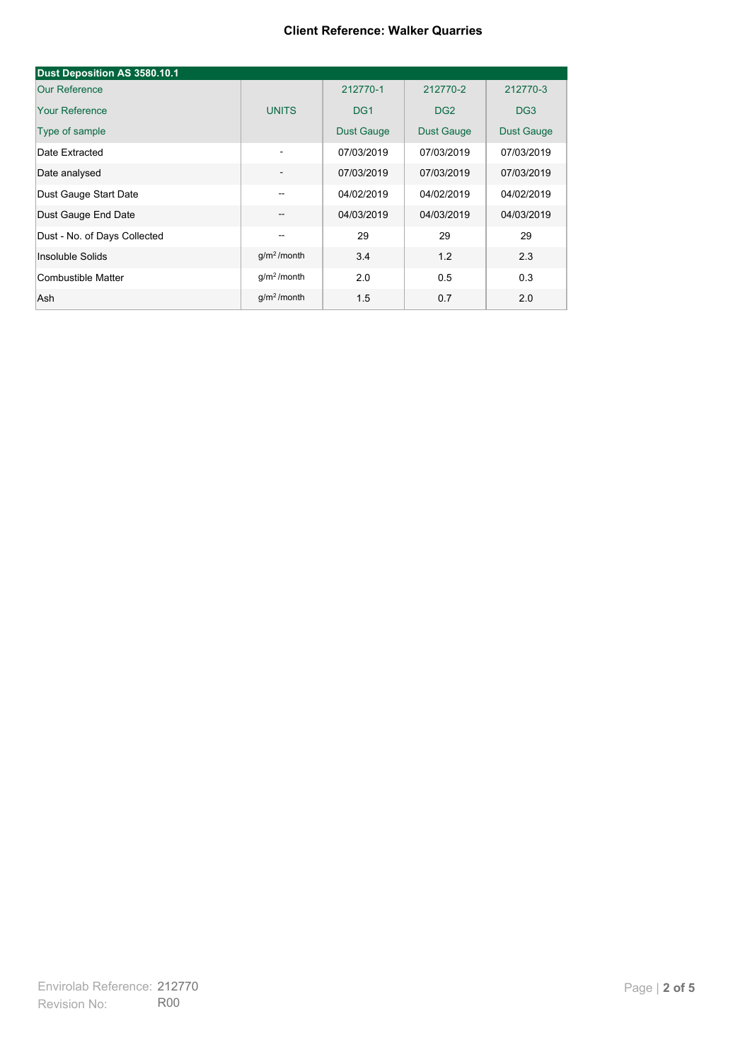#### **Client Reference: Walker Quarries**

| Dust Deposition AS 3580.10.1 |               |                   |                   |                   |
|------------------------------|---------------|-------------------|-------------------|-------------------|
| <b>Our Reference</b>         |               | 212770-1          | 212770-2          | 212770-3          |
| Your Reference               | <b>UNITS</b>  | DG <sub>1</sub>   | DG <sub>2</sub>   | DG <sub>3</sub>   |
| Type of sample               |               | <b>Dust Gauge</b> | <b>Dust Gauge</b> | <b>Dust Gauge</b> |
| Date Extracted               |               | 07/03/2019        | 07/03/2019        | 07/03/2019        |
| Date analysed                |               | 07/03/2019        | 07/03/2019        | 07/03/2019        |
| Dust Gauge Start Date        |               | 04/02/2019        | 04/02/2019        | 04/02/2019        |
| Dust Gauge End Date          |               | 04/03/2019        | 04/03/2019        | 04/03/2019        |
| Dust - No. of Days Collected | --            | 29                | 29                | 29                |
| Insoluble Solids             | $g/m2$ /month | 3.4               | 1.2               | 2.3               |
| Combustible Matter           | $q/m2$ /month | 2.0               | 0.5               | 0.3               |
| <b>Ash</b>                   | $q/m2$ /month | 1.5               | 0.7               | 2.0               |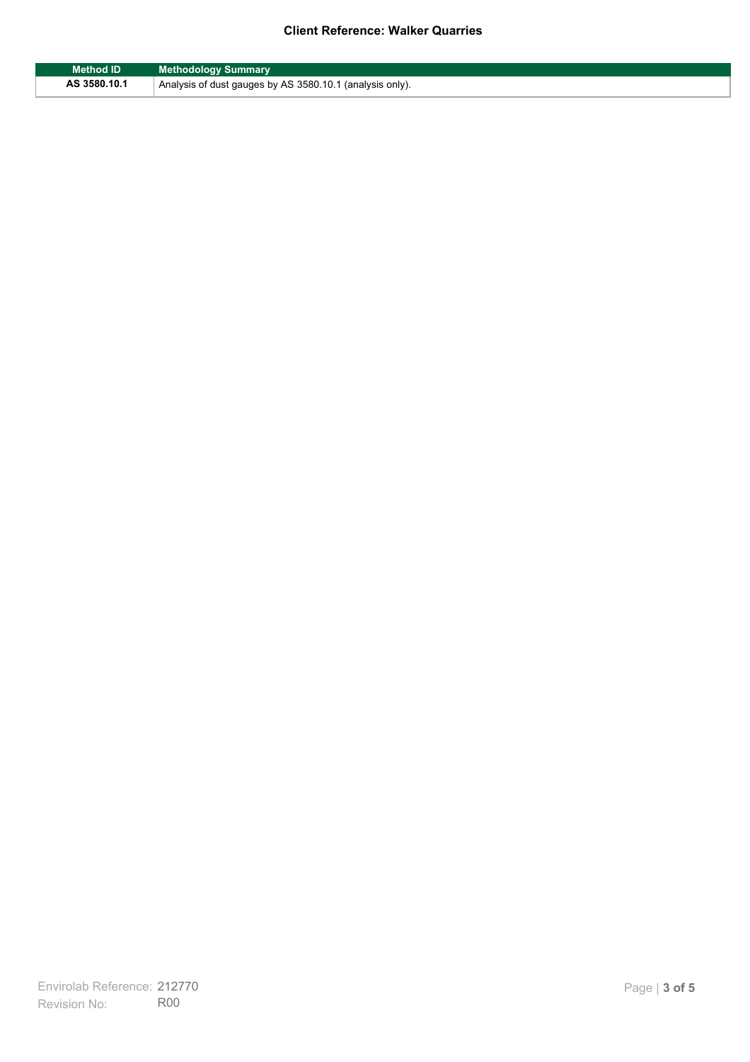# **Client Reference: Walker Quarries**

| <b>Method ID</b> | <b>Methodology Summary</b>                               |
|------------------|----------------------------------------------------------|
| AS 3580.10.1     | Analysis of dust gauges by AS 3580.10.1 (analysis only). |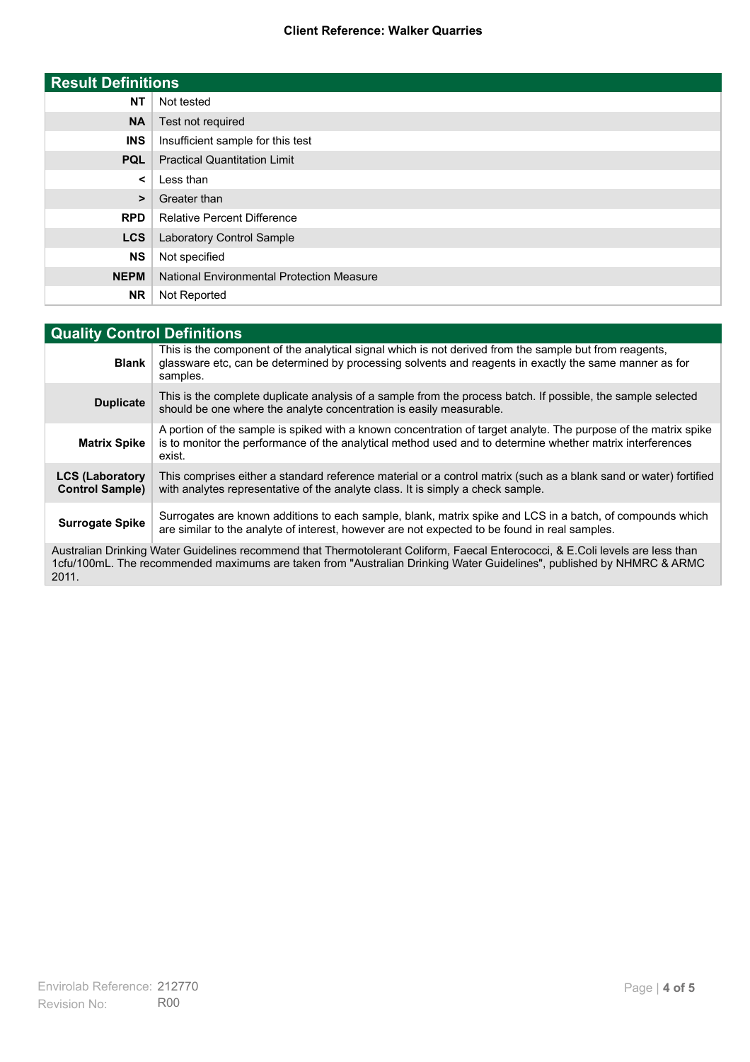# **Client Reference: Walker Quarries**

| <b>Result Definitions</b> |                                                  |
|---------------------------|--------------------------------------------------|
| <b>NT</b>                 | Not tested                                       |
| <b>NA</b>                 | Test not required                                |
| <b>INS</b>                | Insufficient sample for this test                |
| <b>PQL</b>                | <b>Practical Quantitation Limit</b>              |
| ≺                         | Less than                                        |
| >                         | Greater than                                     |
| <b>RPD</b>                | <b>Relative Percent Difference</b>               |
| <b>LCS</b>                | Laboratory Control Sample                        |
| <b>NS</b>                 | Not specified                                    |
| <b>NEPM</b>               | <b>National Environmental Protection Measure</b> |
| <b>NR</b>                 | Not Reported                                     |

| <b>Quality Control Definitions</b>                                                                                                                                                                                                                      |                                                                                                                                                                                                                                        |
|---------------------------------------------------------------------------------------------------------------------------------------------------------------------------------------------------------------------------------------------------------|----------------------------------------------------------------------------------------------------------------------------------------------------------------------------------------------------------------------------------------|
| <b>Blank</b>                                                                                                                                                                                                                                            | This is the component of the analytical signal which is not derived from the sample but from reagents,<br>glassware etc, can be determined by processing solvents and reagents in exactly the same manner as for<br>samples.           |
| <b>Duplicate</b>                                                                                                                                                                                                                                        | This is the complete duplicate analysis of a sample from the process batch. If possible, the sample selected<br>should be one where the analyte concentration is easily measurable.                                                    |
| <b>Matrix Spike</b>                                                                                                                                                                                                                                     | A portion of the sample is spiked with a known concentration of target analyte. The purpose of the matrix spike<br>is to monitor the performance of the analytical method used and to determine whether matrix interferences<br>exist. |
| <b>LCS (Laboratory</b><br><b>Control Sample)</b>                                                                                                                                                                                                        | This comprises either a standard reference material or a control matrix (such as a blank sand or water) fortified<br>with analytes representative of the analyte class. It is simply a check sample.                                   |
| <b>Surrogate Spike</b>                                                                                                                                                                                                                                  | Surrogates are known additions to each sample, blank, matrix spike and LCS in a batch, of compounds which<br>are similar to the analyte of interest, however are not expected to be found in real samples.                             |
| Australian Drinking Water Guidelines recommend that Thermotolerant Coliform, Faecal Enterococci, & E.Coli levels are less than<br>1cfu/100mL. The recommended maximums are taken from "Australian Drinking Water Guidelines", published by NHMRC & ARMC |                                                                                                                                                                                                                                        |

2011.